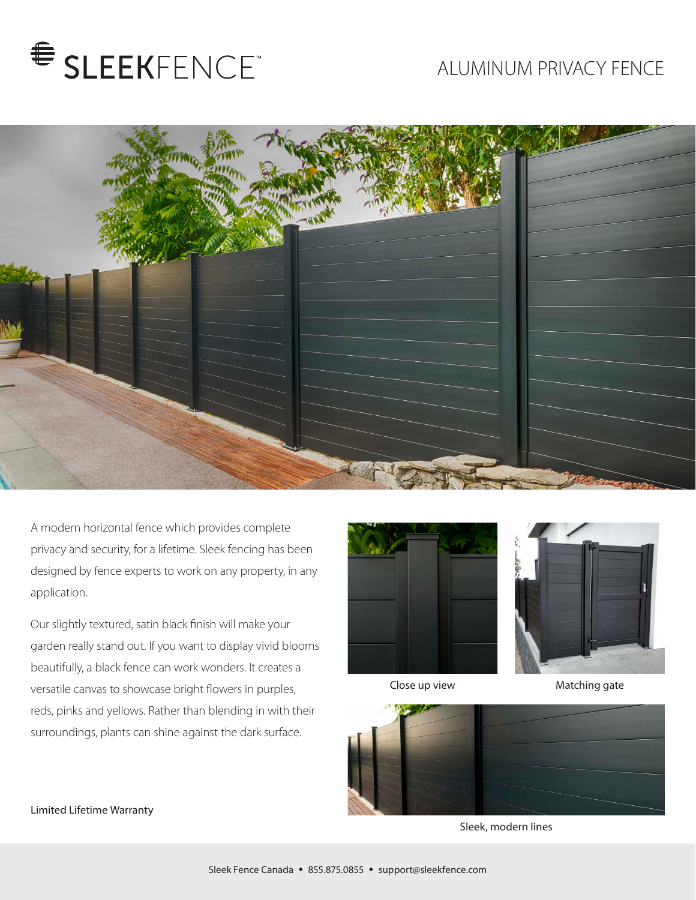# SLEEKFENCE

## ALUMINUM PRIVACY FENCE



A modern horizontal fence which provides complete privacy and security, for a lifetime. Sleek fencing has been designed by fence experts to work on any property, in any application.

Our slightly textured, satin black finish will make your garden really stand out. If you want to display vivid blooms beautifully, a black fence can work wonders. It creates a versatile canvas to showcase bright flowers in purples, reds, pinks and yellows. Rather than blending in with their surroundings, plants can shine against the dark surface.



Close up view

Matching gate



Sleek, modern lines

### Limited Lifetime Warranty